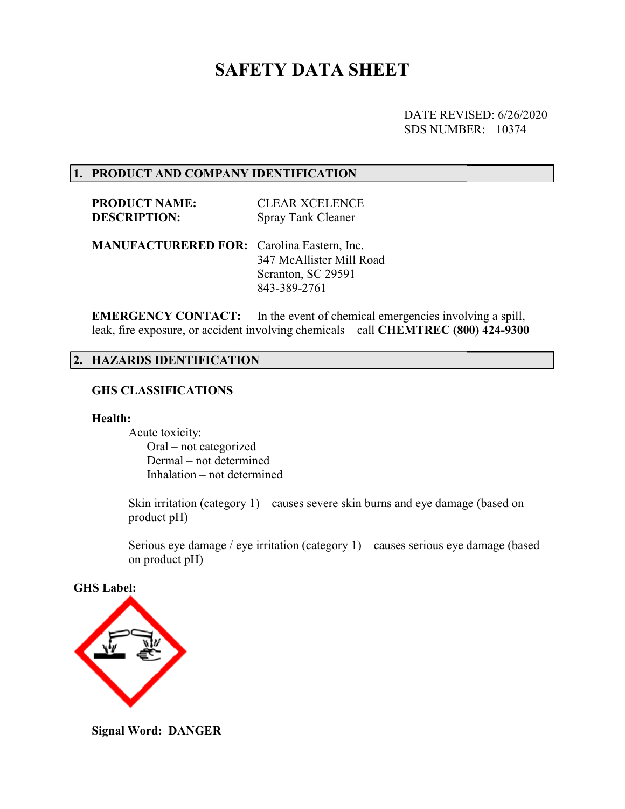# SAFETY DATA SHEET

DATE REVISED: REVISED: 6/26/2020 SDS NUMBER: 10374

#### 1. PRODUCT AND COMPANY IDENTIFICATION

PRODUCT NAME: DESCRIPTION: CLEAR XCELENCE Spray Tank Cleaner

MANUFACTURERED FOR: Carolina Eastern, Inc. 347 McAllister Mill Road Scranton, SC 29591 843-389-2761

EMERGENCY CONTACT: leak, fire exposure, or accident involving chemicals – call CHEMTREC (800) 424-9300 In the event of chemical emergencies involving a spill,

#### 2. HAZARDS IDENTIFICATION HAZARDS IDENTIFICATION

## GHS CLASSIFICATIONS

#### Health:

 Acute toxicity: Oral – not categorized Dermal – not determined Inhalation – not determined

Skin irritation (category 1) – causes severe skin burns and eye damage (based on product pH)

Serious eye damage / eye irritation (category 1) - causes serious eye damage (based on product pH)

GHS Label:



Signal Word: DANGER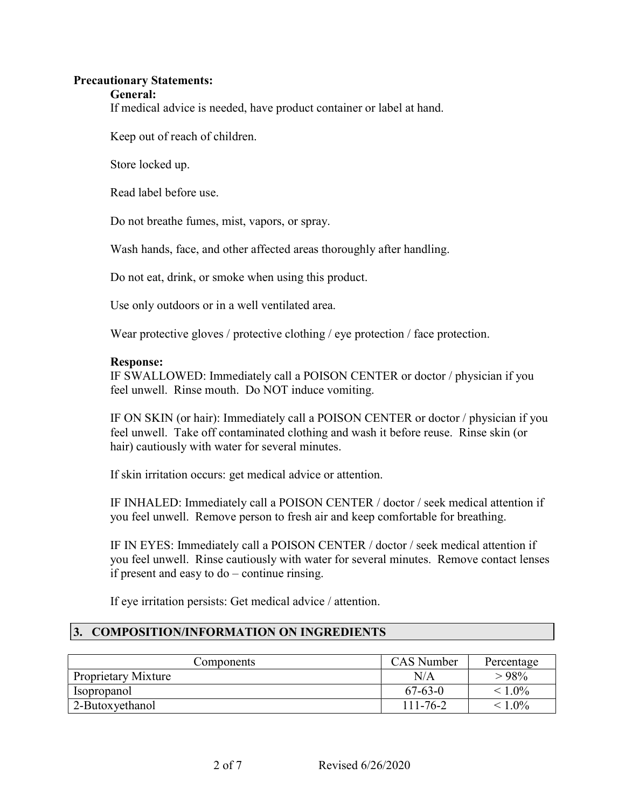#### Precautionary Statements:

#### General:

If medical advice is needed, have product container or label at hand.

Keep out of reach of children.

Store locked up.

Read label before use.

Do not breathe fumes, mist, vapors, or spray.

Wash hands, face, and other affected areas thoroughly after handling.

Do not eat, drink, or smoke when using this product.

Use only outdoors or in a well ventilated area.

Wear protective gloves / protective clothing / eye protection / face protection.

### Response:

IF SWALLOWED: Immediately call a POISON CENTER or doctor / physician if you feel unwell. Rinse mouth. Do NOT induce vomiting.

IF ON SKIN (or hair): Immediately call a POISON CENTER or doctor / physician if you feel unwell. Take off contaminated clothing and wash it before reuse. Rinse skin (or hair) cautiously with water for several minutes.

If skin irritation occurs: get medical advice or attention.

IF INHALED: Immediately call a POISON CENTER / doctor / seek medical attention if you feel unwell. Remove person to fresh air and keep comfortable for breathing.

IF IN EYES: Immediately call a POISON CENTER / doctor / seek medical attention if you feel unwell. Rinse cautiously with water for several minutes. Remove contact lenses if present and easy to do – continue rinsing.

If eye irritation persists: Get medical advice / attention.

# 3. COMPOSITION/INFORMATION ON INGREDIENTS

| 'Components         | <b>CAS</b> Number | Percentage |
|---------------------|-------------------|------------|
| Proprietary Mixture | N/A               | >98%       |
| <i>s</i> opropanol  | $67 - 63 - 0$     | $< 1.0\%$  |
| 2-Butoxyethanol     | $111 - 76 - 2$    | $< 1.0\%$  |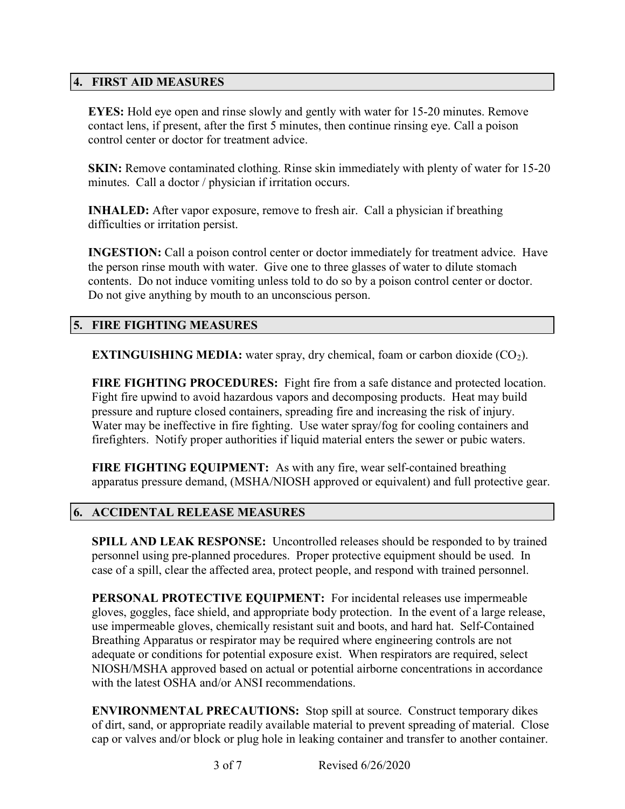# 4. FIRST AID MEASURES

EYES: Hold eye open and rinse slowly and gently with water for 15-20 minutes. Remove contact lens, if present, after the first 5 minutes, then continue rinsing eye. Call a poison control center or doctor for treatment advice.

SKIN: Remove contaminated clothing. Rinse skin immediately with plenty of water for 15-20 minutes. Call a doctor / physician if irritation occurs.

INHALED: After vapor exposure, remove to fresh air. Call a physician if breathing difficulties or irritation persist.

INGESTION: Call a poison control center or doctor immediately for treatment advice. Have the person rinse mouth with water. Give one to three glasses of water to dilute stomach contents. Do not induce vomiting unless told to do so by a poison control center or doctor. Do not give anything by mouth to an unconscious person.

## 5. FIRE FIGHTING MEASURES

**EXTINGUISHING MEDIA:** water spray, dry chemical, foam or carbon dioxide  $(CO<sub>2</sub>)$ .

FIRE FIGHTING PROCEDURES: Fight fire from a safe distance and protected location. Fight fire upwind to avoid hazardous vapors and decomposing products. Heat may build pressure and rupture closed containers, spreading fire and increasing the risk of injury. Water may be ineffective in fire fighting. Use water spray/fog for cooling containers and firefighters. Notify proper authorities if liquid material enters the sewer or pubic waters.

FIRE FIGHTING EQUIPMENT: As with any fire, wear self-contained breathing apparatus pressure demand, (MSHA/NIOSH approved or equivalent) and full protective gear.

### 6. ACCIDENTAL RELEASE MEASURES

SPILL AND LEAK RESPONSE: Uncontrolled releases should be responded to by trained personnel using pre-planned procedures. Proper protective equipment should be used. In case of a spill, clear the affected area, protect people, and respond with trained personnel.

PERSONAL PROTECTIVE EQUIPMENT: For incidental releases use impermeable gloves, goggles, face shield, and appropriate body protection. In the event of a large release, use impermeable gloves, chemically resistant suit and boots, and hard hat. Self-Contained Breathing Apparatus or respirator may be required where engineering controls are not adequate or conditions for potential exposure exist. When respirators are required, select NIOSH/MSHA approved based on actual or potential airborne concentrations in accordance with the latest OSHA and/or ANSI recommendations.

ENVIRONMENTAL PRECAUTIONS: Stop spill at source. Construct temporary dikes of dirt, sand, or appropriate readily available material to prevent spreading of material. Close cap or valves and/or block or plug hole in leaking container and transfer to another container.

3 of 7 Revised 6/26/2020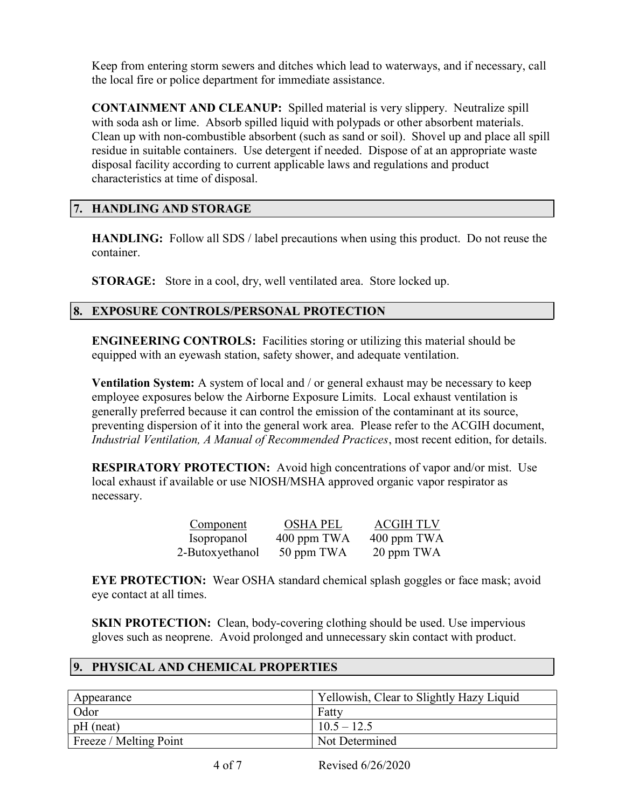Keep from entering storm sewers and ditches which lead to waterways, and if necessary, call the local fire or police department for immediate assistance.

CONTAINMENT AND CLEANUP: Spilled material is very slippery. Neutralize spill with soda ash or lime. Absorb spilled liquid with polypads or other absorbent materials. Clean up with non-combustible absorbent (such as sand or soil). Shovel up and place all spill residue in suitable containers. Use detergent if needed. Dispose of at an appropriate waste disposal facility according to current applicable laws and regulations and product characteristics at time of disposal.

# 7. HANDLING AND STORAGE

HANDLING: Follow all SDS / label precautions when using this product. Do not reuse the container.

STORAGE: Store in a cool, dry, well ventilated area. Store locked up.

# 8. EXPOSURE CONTROLS/PERSONAL PROTECTION

ENGINEERING CONTROLS: Facilities storing or utilizing this material should be equipped with an eyewash station, safety shower, and adequate ventilation.

Ventilation System: A system of local and / or general exhaust may be necessary to keep employee exposures below the Airborne Exposure Limits. Local exhaust ventilation is generally preferred because it can control the emission of the contaminant at its source, preventing dispersion of it into the general work area. Please refer to the ACGIH document, Industrial Ventilation, A Manual of Recommended Practices, most recent edition, for details.

RESPIRATORY PROTECTION: Avoid high concentrations of vapor and/or mist. Use local exhaust if available or use NIOSH/MSHA approved organic vapor respirator as necessary.

| Component          | <b>OSHA PEL</b> | <b>ACGIH TLV</b> |
|--------------------|-----------------|------------------|
| <i>Isopropanol</i> | 400 ppm TWA     | 400 ppm TWA      |
| 2-Butoxyethanol    | 50 ppm TWA      | 20 ppm TWA       |

EYE PROTECTION: Wear OSHA standard chemical splash goggles or face mask; avoid eye contact at all times.

**SKIN PROTECTION:** Clean, body-covering clothing should be used. Use impervious gloves such as neoprene. Avoid prolonged and unnecessary skin contact with product.

# 9. PHYSICAL AND CHEMICAL PROPERTIES

| Appearance             | Yellowish, Clear to Slightly Hazy Liquid |
|------------------------|------------------------------------------|
| Odor                   | Fatty                                    |
| $pH$ (neat)            | $10.5 - 12.5$                            |
| Freeze / Melting Point | Not Determined                           |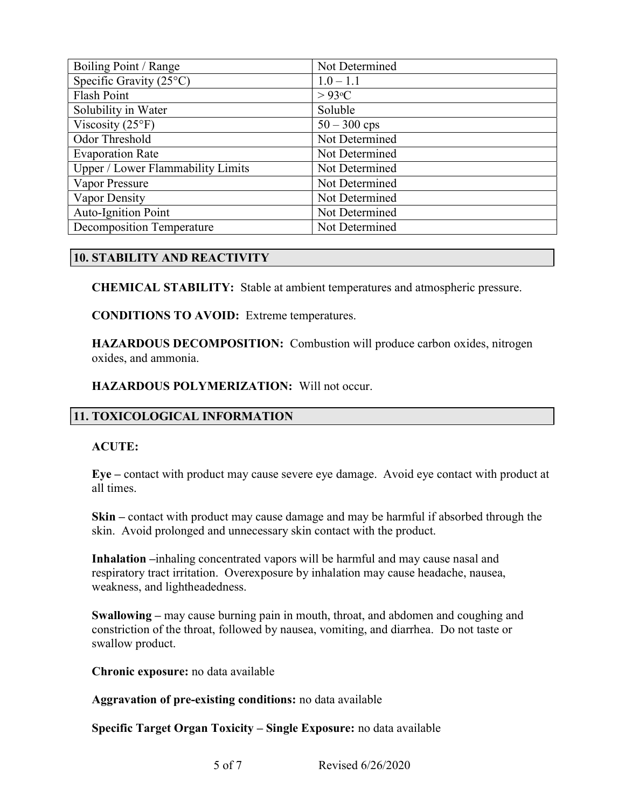| Boiling Point / Range             | Not Determined |
|-----------------------------------|----------------|
| Specific Gravity $(25^{\circ}C)$  | $1.0 - 1.1$    |
| <b>Flash Point</b>                | $>93$ °C       |
| Solubility in Water               | Soluble        |
| Viscosity $(25^{\circ}F)$         | $50 - 300$ cps |
| Odor Threshold                    | Not Determined |
| <b>Evaporation Rate</b>           | Not Determined |
| Upper / Lower Flammability Limits | Not Determined |
| Vapor Pressure                    | Not Determined |
| Vapor Density                     | Not Determined |
| <b>Auto-Ignition Point</b>        | Not Determined |
| <b>Decomposition Temperature</b>  | Not Determined |

# 10. STABILITY AND REACTIVITY

CHEMICAL STABILITY: Stable at ambient temperatures and atmospheric pressure.

CONDITIONS TO AVOID: Extreme temperatures.

HAZARDOUS DECOMPOSITION: Combustion will produce carbon oxides, nitrogen oxides, and ammonia.

### HAZARDOUS POLYMERIZATION: Will not occur.

# 11. TOXICOLOGICAL INFORMATION

### ACUTE:

Eye – contact with product may cause severe eye damage. Avoid eye contact with product at all times.

Skin – contact with product may cause damage and may be harmful if absorbed through the skin. Avoid prolonged and unnecessary skin contact with the product.

Inhalation –inhaling concentrated vapors will be harmful and may cause nasal and respiratory tract irritation. Overexposure by inhalation may cause headache, nausea, weakness, and lightheadedness.

Swallowing – may cause burning pain in mouth, throat, and abdomen and coughing and constriction of the throat, followed by nausea, vomiting, and diarrhea. Do not taste or swallow product.

Chronic exposure: no data available

Aggravation of pre-existing conditions: no data available

Specific Target Organ Toxicity – Single Exposure: no data available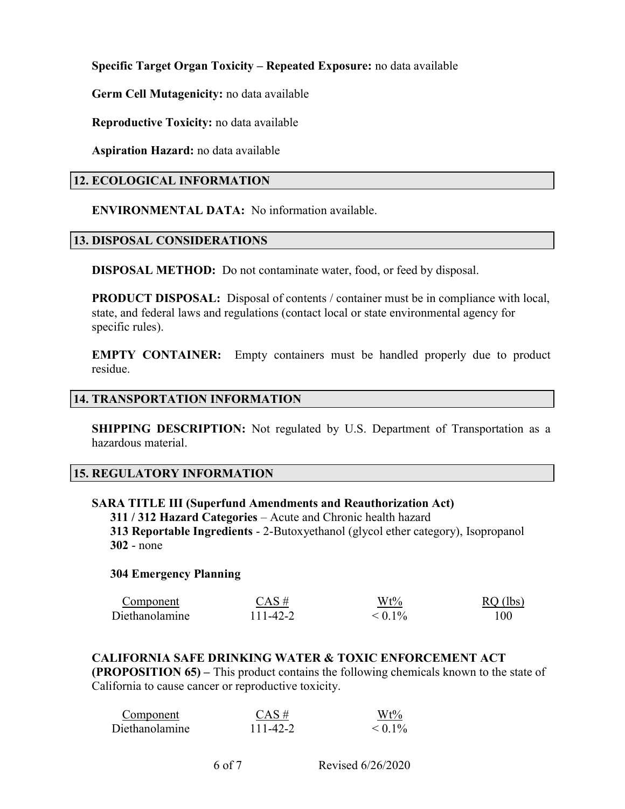Specific Target Organ Toxicity – Repeated Exposure: no data available

Germ Cell Mutagenicity: no data available

Reproductive Toxicity: no data available

Aspiration Hazard: no data available

# 12. ECOLOGICAL INFORMATION

ENVIRONMENTAL DATA: No information available.

## 13. DISPOSAL CONSIDERATIONS

DISPOSAL METHOD: Do not contaminate water, food, or feed by disposal.

PRODUCT DISPOSAL: Disposal of contents / container must be in compliance with local, state, and federal laws and regulations (contact local or state environmental agency for specific rules).

EMPTY CONTAINER: Empty containers must be handled properly due to product residue.

## 14. TRANSPORTATION INFORMATION

**SHIPPING DESCRIPTION:** Not regulated by U.S. Department of Transportation as a hazardous material.

### 15. REGULATORY INFORMATION

### SARA TITLE III (Superfund Amendments and Reauthorization Act)

 311 / 312 Hazard Categories – Acute and Chronic health hazard 313 Reportable Ingredients - 2-Butoxyethanol (glycol ether category), Isopropanol 302 - none

### 304 Emergency Planning

| Component      | $CAS \#$ | $Wt\%$       | $RO$ (lbs) |
|----------------|----------|--------------|------------|
| Diethanolamine | 111-42-2 | $\leq 0.1\%$ | 100        |

### CALIFORNIA SAFE DRINKING WATER & TOXIC ENFORCEMENT ACT

(PROPOSITION 65) – This product contains the following chemicals known to the state of California to cause cancer or reproductive toxicity.

| Component      | $CAS \#$ | $Wt\%$       |
|----------------|----------|--------------|
| Diethanolamine | 111-42-2 | $\leq 0.1\%$ |